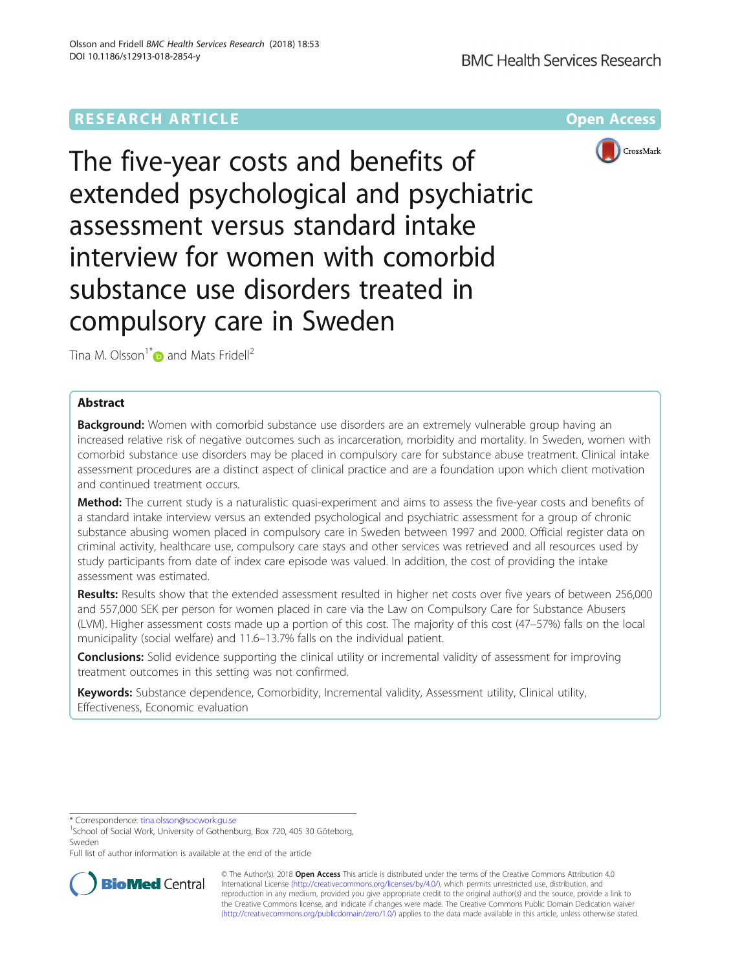# **RESEARCH ARTICLE Example 2014 The Contract of Contract Contract Contract Contract Contract Contract Contract Contract Contract Contract Contract Contract Contract Contract Contract Contract Contract Contract Contract Co**



The five-year costs and benefits of extended psychological and psychiatric assessment versus standard intake interview for women with comorbid substance use disorders treated in compulsory care in Sweden

Tina M. Olsson<sup>1\*</sup> and Mats Fridell<sup>2</sup>

## Abstract

**Background:** Women with comorbid substance use disorders are an extremely vulnerable group having an increased relative risk of negative outcomes such as incarceration, morbidity and mortality. In Sweden, women with comorbid substance use disorders may be placed in compulsory care for substance abuse treatment. Clinical intake assessment procedures are a distinct aspect of clinical practice and are a foundation upon which client motivation and continued treatment occurs.

Method: The current study is a naturalistic quasi-experiment and aims to assess the five-year costs and benefits of a standard intake interview versus an extended psychological and psychiatric assessment for a group of chronic substance abusing women placed in compulsory care in Sweden between 1997 and 2000. Official register data on criminal activity, healthcare use, compulsory care stays and other services was retrieved and all resources used by study participants from date of index care episode was valued. In addition, the cost of providing the intake assessment was estimated.

Results: Results show that the extended assessment resulted in higher net costs over five years of between 256,000 and 557,000 SEK per person for women placed in care via the Law on Compulsory Care for Substance Abusers (LVM). Higher assessment costs made up a portion of this cost. The majority of this cost (47–57%) falls on the local municipality (social welfare) and 11.6–13.7% falls on the individual patient.

**Conclusions:** Solid evidence supporting the clinical utility or incremental validity of assessment for improving treatment outcomes in this setting was not confirmed.

Keywords: Substance dependence, Comorbidity, Incremental validity, Assessment utility, Clinical utility, Effectiveness, Economic evaluation

\* Correspondence: [tina.olsson@socwork.gu.se](mailto:tina.olsson@socwork.gu.se) <sup>1</sup>

<sup>1</sup>School of Social Work, University of Gothenburg, Box 720, 405 30 Göteborg, Sweden

Full list of author information is available at the end of the article



© The Author(s). 2018 Open Access This article is distributed under the terms of the Creative Commons Attribution 4.0 International License [\(http://creativecommons.org/licenses/by/4.0/](http://creativecommons.org/licenses/by/4.0/)), which permits unrestricted use, distribution, and reproduction in any medium, provided you give appropriate credit to the original author(s) and the source, provide a link to the Creative Commons license, and indicate if changes were made. The Creative Commons Public Domain Dedication waiver [\(http://creativecommons.org/publicdomain/zero/1.0/](http://creativecommons.org/publicdomain/zero/1.0/)) applies to the data made available in this article, unless otherwise stated.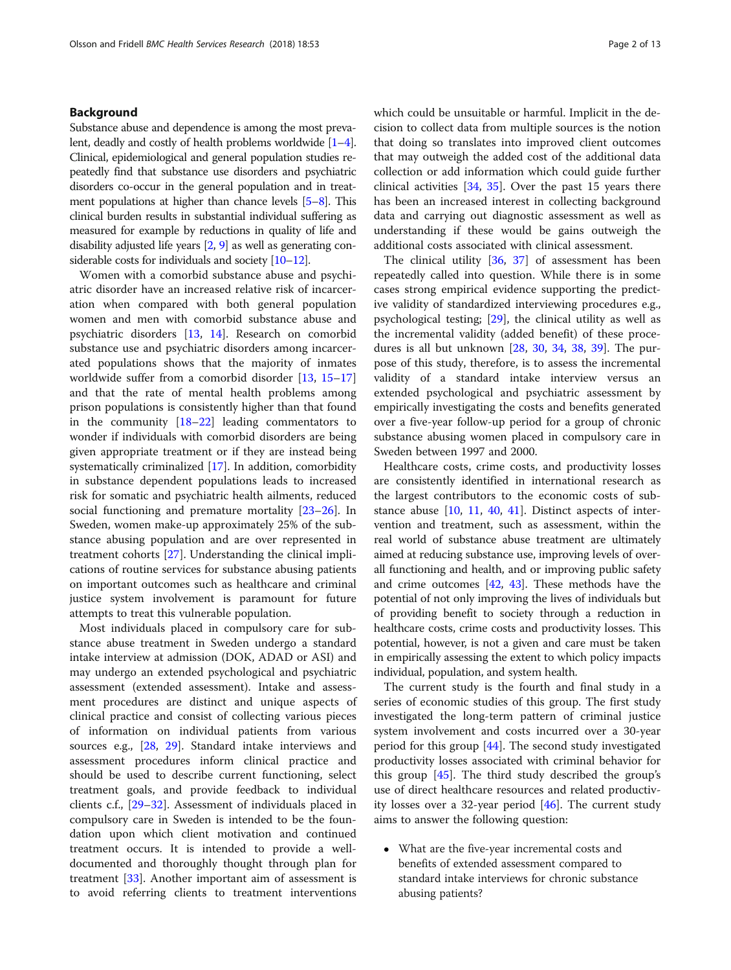### Background

Substance abuse and dependence is among the most prevalent, deadly and costly of health problems worldwide [\[1](#page-10-0)–[4](#page-10-0)]. Clinical, epidemiological and general population studies repeatedly find that substance use disorders and psychiatric disorders co-occur in the general population and in treat-ment populations at higher than chance levels [\[5](#page-10-0)–[8](#page-10-0)]. This clinical burden results in substantial individual suffering as measured for example by reductions in quality of life and disability adjusted life years [\[2,](#page-10-0) [9](#page-10-0)] as well as generating considerable costs for individuals and society [\[10](#page-10-0)–[12](#page-10-0)].

Women with a comorbid substance abuse and psychiatric disorder have an increased relative risk of incarceration when compared with both general population women and men with comorbid substance abuse and psychiatric disorders [\[13,](#page-10-0) [14\]](#page-10-0). Research on comorbid substance use and psychiatric disorders among incarcerated populations shows that the majority of inmates worldwide suffer from a comorbid disorder [[13,](#page-10-0) [15](#page-10-0)–[17](#page-10-0)] and that the rate of mental health problems among prison populations is consistently higher than that found in the community [\[18](#page-10-0)–[22](#page-10-0)] leading commentators to wonder if individuals with comorbid disorders are being given appropriate treatment or if they are instead being systematically criminalized [\[17](#page-10-0)]. In addition, comorbidity in substance dependent populations leads to increased risk for somatic and psychiatric health ailments, reduced social functioning and premature mortality [[23](#page-10-0)–[26](#page-11-0)]. In Sweden, women make-up approximately 25% of the substance abusing population and are over represented in treatment cohorts [\[27](#page-11-0)]. Understanding the clinical implications of routine services for substance abusing patients on important outcomes such as healthcare and criminal justice system involvement is paramount for future attempts to treat this vulnerable population.

Most individuals placed in compulsory care for substance abuse treatment in Sweden undergo a standard intake interview at admission (DOK, ADAD or ASI) and may undergo an extended psychological and psychiatric assessment (extended assessment). Intake and assessment procedures are distinct and unique aspects of clinical practice and consist of collecting various pieces of information on individual patients from various sources e.g., [\[28](#page-11-0), [29\]](#page-11-0). Standard intake interviews and assessment procedures inform clinical practice and should be used to describe current functioning, select treatment goals, and provide feedback to individual clients c.f., [\[29](#page-11-0)–[32\]](#page-11-0). Assessment of individuals placed in compulsory care in Sweden is intended to be the foundation upon which client motivation and continued treatment occurs. It is intended to provide a welldocumented and thoroughly thought through plan for treatment [[33](#page-11-0)]. Another important aim of assessment is to avoid referring clients to treatment interventions which could be unsuitable or harmful. Implicit in the decision to collect data from multiple sources is the notion that doing so translates into improved client outcomes that may outweigh the added cost of the additional data collection or add information which could guide further clinical activities  $[34, 35]$  $[34, 35]$  $[34, 35]$  $[34, 35]$ . Over the past 15 years there has been an increased interest in collecting background data and carrying out diagnostic assessment as well as understanding if these would be gains outweigh the additional costs associated with clinical assessment.

The clinical utility [[36,](#page-11-0) [37\]](#page-11-0) of assessment has been repeatedly called into question. While there is in some cases strong empirical evidence supporting the predictive validity of standardized interviewing procedures e.g., psychological testing; [\[29\]](#page-11-0), the clinical utility as well as the incremental validity (added benefit) of these procedures is all but unknown [\[28,](#page-11-0) [30,](#page-11-0) [34,](#page-11-0) [38,](#page-11-0) [39\]](#page-11-0). The purpose of this study, therefore, is to assess the incremental validity of a standard intake interview versus an extended psychological and psychiatric assessment by empirically investigating the costs and benefits generated over a five-year follow-up period for a group of chronic substance abusing women placed in compulsory care in Sweden between 1997 and 2000.

Healthcare costs, crime costs, and productivity losses are consistently identified in international research as the largest contributors to the economic costs of substance abuse [\[10,](#page-10-0) [11](#page-10-0), [40](#page-11-0), [41\]](#page-11-0). Distinct aspects of intervention and treatment, such as assessment, within the real world of substance abuse treatment are ultimately aimed at reducing substance use, improving levels of overall functioning and health, and or improving public safety and crime outcomes [[42](#page-11-0), [43\]](#page-11-0). These methods have the potential of not only improving the lives of individuals but of providing benefit to society through a reduction in healthcare costs, crime costs and productivity losses. This potential, however, is not a given and care must be taken in empirically assessing the extent to which policy impacts individual, population, and system health.

The current study is the fourth and final study in a series of economic studies of this group. The first study investigated the long-term pattern of criminal justice system involvement and costs incurred over a 30-year period for this group [[44](#page-11-0)]. The second study investigated productivity losses associated with criminal behavior for this group  $[45]$  $[45]$ . The third study described the group's use of direct healthcare resources and related productivity losses over a 32-year period  $[46]$  $[46]$ . The current study aims to answer the following question:

 What are the five-year incremental costs and benefits of extended assessment compared to standard intake interviews for chronic substance abusing patients?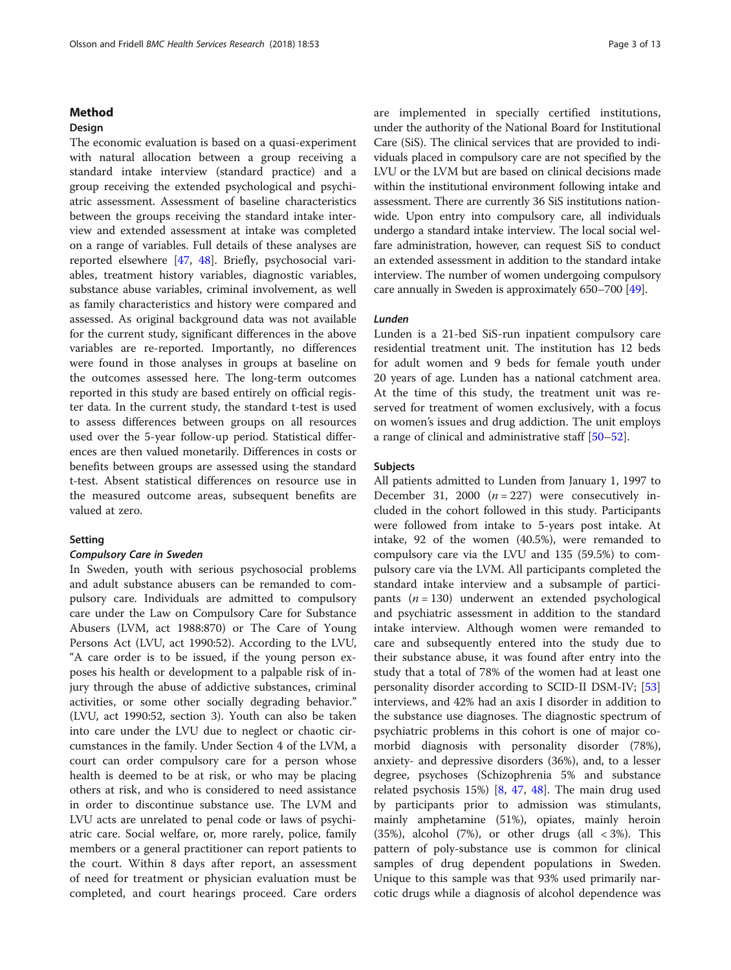### Method

### Design

The economic evaluation is based on a quasi-experiment with natural allocation between a group receiving a standard intake interview (standard practice) and a group receiving the extended psychological and psychiatric assessment. Assessment of baseline characteristics between the groups receiving the standard intake interview and extended assessment at intake was completed on a range of variables. Full details of these analyses are reported elsewhere [[47,](#page-11-0) [48\]](#page-11-0). Briefly, psychosocial variables, treatment history variables, diagnostic variables, substance abuse variables, criminal involvement, as well as family characteristics and history were compared and assessed. As original background data was not available for the current study, significant differences in the above variables are re-reported. Importantly, no differences were found in those analyses in groups at baseline on the outcomes assessed here. The long-term outcomes reported in this study are based entirely on official register data. In the current study, the standard t-test is used to assess differences between groups on all resources used over the 5-year follow-up period. Statistical differences are then valued monetarily. Differences in costs or benefits between groups are assessed using the standard t-test. Absent statistical differences on resource use in the measured outcome areas, subsequent benefits are valued at zero.

### Setting

### Compulsory Care in Sweden

In Sweden, youth with serious psychosocial problems and adult substance abusers can be remanded to compulsory care. Individuals are admitted to compulsory care under the Law on Compulsory Care for Substance Abusers (LVM, act 1988:870) or The Care of Young Persons Act (LVU, act 1990:52). According to the LVU, "A care order is to be issued, if the young person exposes his health or development to a palpable risk of injury through the abuse of addictive substances, criminal activities, or some other socially degrading behavior." (LVU, act 1990:52, section 3). Youth can also be taken into care under the LVU due to neglect or chaotic circumstances in the family. Under Section 4 of the LVM, a court can order compulsory care for a person whose health is deemed to be at risk, or who may be placing others at risk, and who is considered to need assistance in order to discontinue substance use. The LVM and LVU acts are unrelated to penal code or laws of psychiatric care. Social welfare, or, more rarely, police, family members or a general practitioner can report patients to the court. Within 8 days after report, an assessment of need for treatment or physician evaluation must be completed, and court hearings proceed. Care orders are implemented in specially certified institutions, under the authority of the National Board for Institutional Care (SiS). The clinical services that are provided to individuals placed in compulsory care are not specified by the LVU or the LVM but are based on clinical decisions made within the institutional environment following intake and assessment. There are currently 36 SiS institutions nationwide. Upon entry into compulsory care, all individuals undergo a standard intake interview. The local social welfare administration, however, can request SiS to conduct an extended assessment in addition to the standard intake interview. The number of women undergoing compulsory care annually in Sweden is approximately 650–700 [[49\]](#page-11-0).

### Lunden

Lunden is a 21-bed SiS-run inpatient compulsory care residential treatment unit. The institution has 12 beds for adult women and 9 beds for female youth under 20 years of age. Lunden has a national catchment area. At the time of this study, the treatment unit was reserved for treatment of women exclusively, with a focus on women's issues and drug addiction. The unit employs a range of clinical and administrative staff [\[50](#page-11-0)–[52\]](#page-11-0).

#### Subjects

All patients admitted to Lunden from January 1, 1997 to December 31, 2000  $(n = 227)$  were consecutively included in the cohort followed in this study. Participants were followed from intake to 5-years post intake. At intake, 92 of the women (40.5%), were remanded to compulsory care via the LVU and 135 (59.5%) to compulsory care via the LVM. All participants completed the standard intake interview and a subsample of participants  $(n = 130)$  underwent an extended psychological and psychiatric assessment in addition to the standard intake interview. Although women were remanded to care and subsequently entered into the study due to their substance abuse, it was found after entry into the study that a total of 78% of the women had at least one personality disorder according to SCID-II DSM-IV; [[53](#page-11-0)] interviews, and 42% had an axis I disorder in addition to the substance use diagnoses. The diagnostic spectrum of psychiatric problems in this cohort is one of major comorbid diagnosis with personality disorder (78%), anxiety- and depressive disorders (36%), and, to a lesser degree, psychoses (Schizophrenia 5% and substance related psychosis 15%) [[8,](#page-10-0) [47,](#page-11-0) [48\]](#page-11-0). The main drug used by participants prior to admission was stimulants, mainly amphetamine (51%), opiates, mainly heroin (35%), alcohol (7%), or other drugs (all  $<$  3%). This pattern of poly-substance use is common for clinical samples of drug dependent populations in Sweden. Unique to this sample was that 93% used primarily narcotic drugs while a diagnosis of alcohol dependence was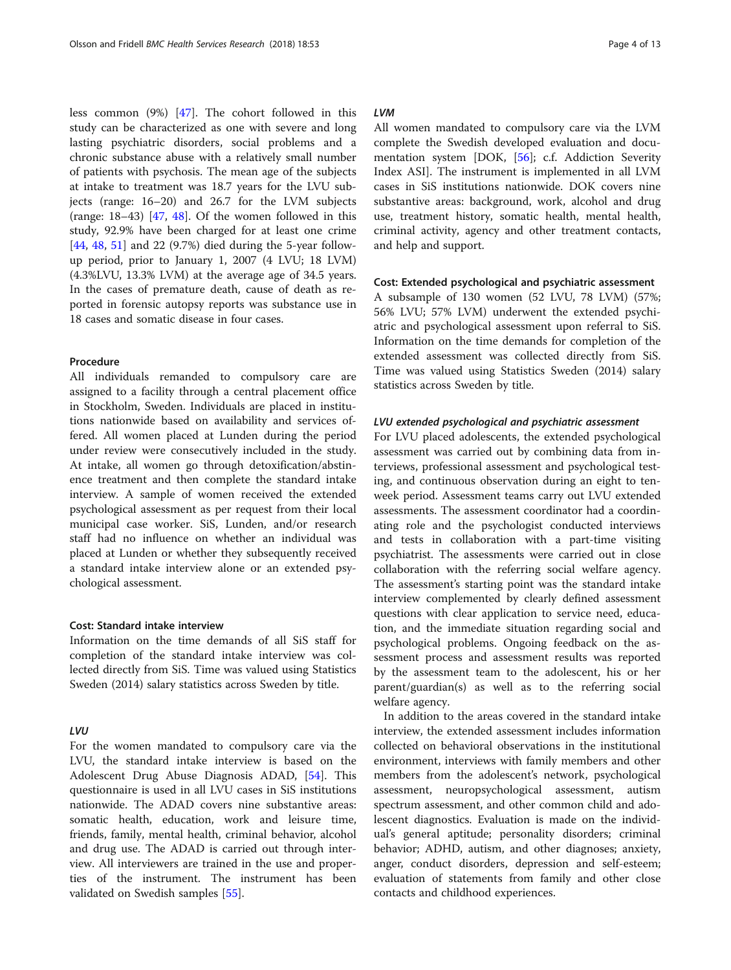less common (9%) [\[47\]](#page-11-0). The cohort followed in this study can be characterized as one with severe and long lasting psychiatric disorders, social problems and a chronic substance abuse with a relatively small number of patients with psychosis. The mean age of the subjects at intake to treatment was 18.7 years for the LVU subjects (range: 16–20) and 26.7 for the LVM subjects (range:  $18-43$ ) [[47](#page-11-0), [48](#page-11-0)]. Of the women followed in this study, 92.9% have been charged for at least one crime [[44,](#page-11-0) [48,](#page-11-0) [51](#page-11-0)] and 22 (9.7%) died during the 5-year followup period, prior to January 1, 2007 (4 LVU; 18 LVM) (4.3%LVU, 13.3% LVM) at the average age of 34.5 years. In the cases of premature death, cause of death as reported in forensic autopsy reports was substance use in 18 cases and somatic disease in four cases.

### Procedure

All individuals remanded to compulsory care are assigned to a facility through a central placement office in Stockholm, Sweden. Individuals are placed in institutions nationwide based on availability and services offered. All women placed at Lunden during the period under review were consecutively included in the study. At intake, all women go through detoxification/abstinence treatment and then complete the standard intake interview. A sample of women received the extended psychological assessment as per request from their local municipal case worker. SiS, Lunden, and/or research staff had no influence on whether an individual was placed at Lunden or whether they subsequently received a standard intake interview alone or an extended psychological assessment.

#### Cost: Standard intake interview

Information on the time demands of all SiS staff for completion of the standard intake interview was collected directly from SiS. Time was valued using Statistics Sweden (2014) salary statistics across Sweden by title.

### LVU

For the women mandated to compulsory care via the LVU, the standard intake interview is based on the Adolescent Drug Abuse Diagnosis ADAD, [\[54](#page-11-0)]. This questionnaire is used in all LVU cases in SiS institutions nationwide. The ADAD covers nine substantive areas: somatic health, education, work and leisure time, friends, family, mental health, criminal behavior, alcohol and drug use. The ADAD is carried out through interview. All interviewers are trained in the use and properties of the instrument. The instrument has been validated on Swedish samples [[55\]](#page-11-0).

### LVM

All women mandated to compulsory care via the LVM complete the Swedish developed evaluation and docu-mentation system [DOK, [[56\]](#page-11-0); c.f. Addiction Severity Index ASI]. The instrument is implemented in all LVM cases in SiS institutions nationwide. DOK covers nine substantive areas: background, work, alcohol and drug use, treatment history, somatic health, mental health, criminal activity, agency and other treatment contacts, and help and support.

#### Cost: Extended psychological and psychiatric assessment

A subsample of 130 women (52 LVU, 78 LVM) (57%; 56% LVU; 57% LVM) underwent the extended psychiatric and psychological assessment upon referral to SiS. Information on the time demands for completion of the extended assessment was collected directly from SiS. Time was valued using Statistics Sweden (2014) salary statistics across Sweden by title.

#### LVU extended psychological and psychiatric assessment

For LVU placed adolescents, the extended psychological assessment was carried out by combining data from interviews, professional assessment and psychological testing, and continuous observation during an eight to tenweek period. Assessment teams carry out LVU extended assessments. The assessment coordinator had a coordinating role and the psychologist conducted interviews and tests in collaboration with a part-time visiting psychiatrist. The assessments were carried out in close collaboration with the referring social welfare agency. The assessment's starting point was the standard intake interview complemented by clearly defined assessment questions with clear application to service need, education, and the immediate situation regarding social and psychological problems. Ongoing feedback on the assessment process and assessment results was reported by the assessment team to the adolescent, his or her parent/guardian(s) as well as to the referring social welfare agency.

In addition to the areas covered in the standard intake interview, the extended assessment includes information collected on behavioral observations in the institutional environment, interviews with family members and other members from the adolescent's network, psychological assessment, neuropsychological assessment, autism spectrum assessment, and other common child and adolescent diagnostics. Evaluation is made on the individual's general aptitude; personality disorders; criminal behavior; ADHD, autism, and other diagnoses; anxiety, anger, conduct disorders, depression and self-esteem; evaluation of statements from family and other close contacts and childhood experiences.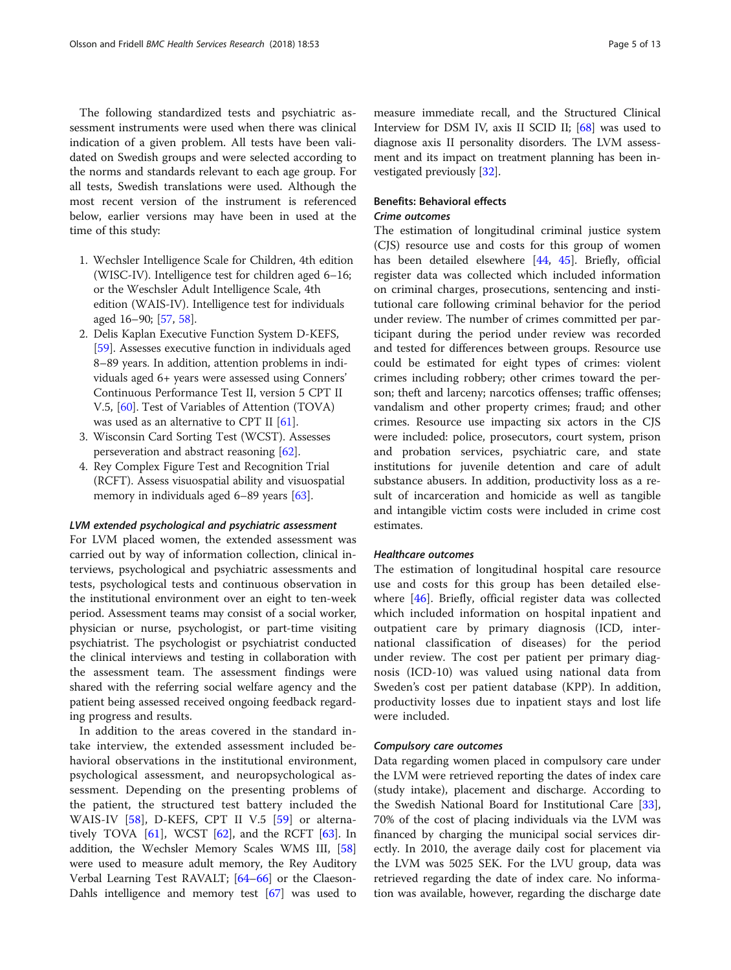The following standardized tests and psychiatric assessment instruments were used when there was clinical indication of a given problem. All tests have been validated on Swedish groups and were selected according to the norms and standards relevant to each age group. For all tests, Swedish translations were used. Although the most recent version of the instrument is referenced below, earlier versions may have been in used at the time of this study:

- 1. Wechsler Intelligence Scale for Children, 4th edition (WISC-IV). Intelligence test for children aged 6–16; or the Weschsler Adult Intelligence Scale, 4th edition (WAIS-IV). Intelligence test for individuals aged 16–90; [[57,](#page-11-0) [58](#page-11-0)].
- 2. Delis Kaplan Executive Function System D-KEFS, [\[59](#page-11-0)]. Assesses executive function in individuals aged 8–89 years. In addition, attention problems in individuals aged 6+ years were assessed using Conners' Continuous Performance Test II, version 5 CPT II V.5, [\[60\]](#page-11-0). Test of Variables of Attention (TOVA) was used as an alternative to CPT II [[61](#page-11-0)].
- 3. Wisconsin Card Sorting Test (WCST). Assesses perseveration and abstract reasoning [\[62\]](#page-11-0).
- 4. Rey Complex Figure Test and Recognition Trial (RCFT). Assess visuospatial ability and visuospatial memory in individuals aged 6–89 years [\[63](#page-11-0)].

#### LVM extended psychological and psychiatric assessment

For LVM placed women, the extended assessment was carried out by way of information collection, clinical interviews, psychological and psychiatric assessments and tests, psychological tests and continuous observation in the institutional environment over an eight to ten-week period. Assessment teams may consist of a social worker, physician or nurse, psychologist, or part-time visiting psychiatrist. The psychologist or psychiatrist conducted the clinical interviews and testing in collaboration with the assessment team. The assessment findings were shared with the referring social welfare agency and the patient being assessed received ongoing feedback regarding progress and results.

In addition to the areas covered in the standard intake interview, the extended assessment included behavioral observations in the institutional environment, psychological assessment, and neuropsychological assessment. Depending on the presenting problems of the patient, the structured test battery included the WAIS-IV [[58\]](#page-11-0), D-KEFS, CPT II V.5 [[59\]](#page-11-0) or alternatively TOVA  $[61]$  $[61]$ , WCST  $[62]$  $[62]$  $[62]$ , and the RCFT  $[63]$ . In addition, the Wechsler Memory Scales WMS III, [[58](#page-11-0)] were used to measure adult memory, the Rey Auditory Verbal Learning Test RAVALT; [[64](#page-11-0)–[66\]](#page-11-0) or the Claeson-Dahls intelligence and memory test [\[67\]](#page-11-0) was used to

measure immediate recall, and the Structured Clinical Interview for DSM IV, axis II SCID II; [[68](#page-11-0)] was used to diagnose axis II personality disorders. The LVM assessment and its impact on treatment planning has been investigated previously [\[32\]](#page-11-0).

### Benefits: Behavioral effects Crime outcomes

The estimation of longitudinal criminal justice system (CJS) resource use and costs for this group of women has been detailed elsewhere [\[44](#page-11-0), [45](#page-11-0)]. Briefly, official register data was collected which included information on criminal charges, prosecutions, sentencing and institutional care following criminal behavior for the period under review. The number of crimes committed per participant during the period under review was recorded and tested for differences between groups. Resource use could be estimated for eight types of crimes: violent crimes including robbery; other crimes toward the person; theft and larceny; narcotics offenses; traffic offenses; vandalism and other property crimes; fraud; and other crimes. Resource use impacting six actors in the CJS were included: police, prosecutors, court system, prison and probation services, psychiatric care, and state institutions for juvenile detention and care of adult substance abusers. In addition, productivity loss as a result of incarceration and homicide as well as tangible and intangible victim costs were included in crime cost estimates.

### Healthcare outcomes

The estimation of longitudinal hospital care resource use and costs for this group has been detailed elsewhere [[46\]](#page-11-0). Briefly, official register data was collected which included information on hospital inpatient and outpatient care by primary diagnosis (ICD, international classification of diseases) for the period under review. The cost per patient per primary diagnosis (ICD-10) was valued using national data from Sweden's cost per patient database (KPP). In addition, productivity losses due to inpatient stays and lost life were included.

### Compulsory care outcomes

Data regarding women placed in compulsory care under the LVM were retrieved reporting the dates of index care (study intake), placement and discharge. According to the Swedish National Board for Institutional Care [\[33](#page-11-0)], 70% of the cost of placing individuals via the LVM was financed by charging the municipal social services directly. In 2010, the average daily cost for placement via the LVM was 5025 SEK. For the LVU group, data was retrieved regarding the date of index care. No information was available, however, regarding the discharge date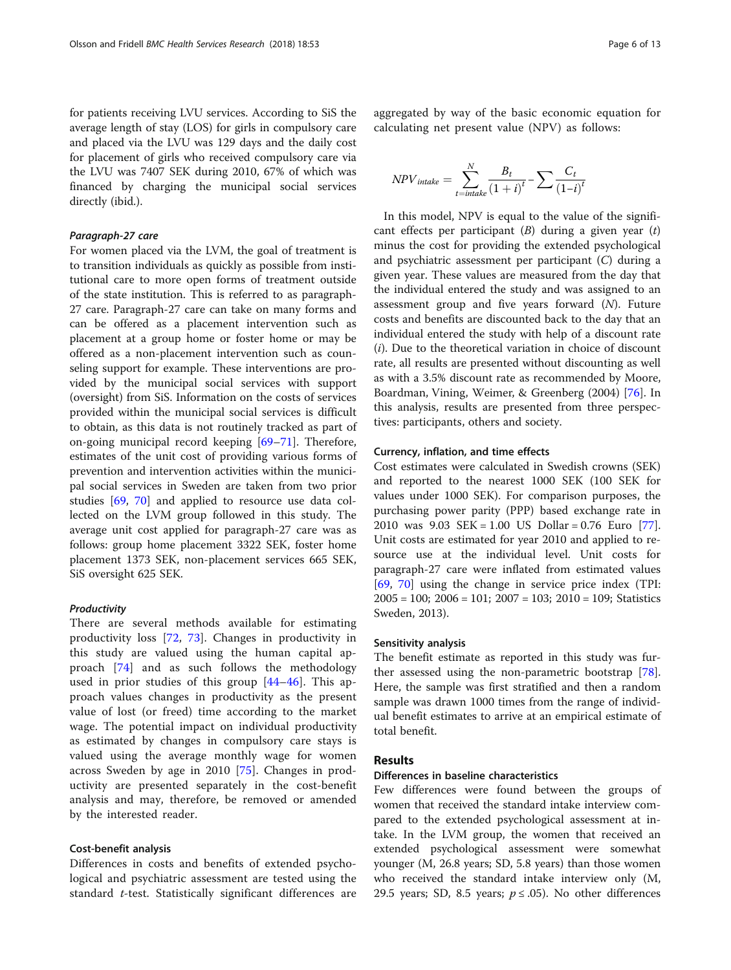for patients receiving LVU services. According to SiS the average length of stay (LOS) for girls in compulsory care and placed via the LVU was 129 days and the daily cost for placement of girls who received compulsory care via the LVU was 7407 SEK during 2010, 67% of which was financed by charging the municipal social services directly (ibid.).

#### Paragraph-27 care

For women placed via the LVM, the goal of treatment is to transition individuals as quickly as possible from institutional care to more open forms of treatment outside of the state institution. This is referred to as paragraph-27 care. Paragraph-27 care can take on many forms and can be offered as a placement intervention such as placement at a group home or foster home or may be offered as a non-placement intervention such as counseling support for example. These interventions are provided by the municipal social services with support (oversight) from SiS. Information on the costs of services provided within the municipal social services is difficult to obtain, as this data is not routinely tracked as part of on-going municipal record keeping [[69](#page-11-0)–[71](#page-11-0)]. Therefore, estimates of the unit cost of providing various forms of prevention and intervention activities within the municipal social services in Sweden are taken from two prior studies [[69,](#page-11-0) [70\]](#page-11-0) and applied to resource use data collected on the LVM group followed in this study. The average unit cost applied for paragraph-27 care was as follows: group home placement 3322 SEK, foster home placement 1373 SEK, non-placement services 665 SEK, SiS oversight 625 SEK.

#### **Productivity**

There are several methods available for estimating productivity loss [[72,](#page-11-0) [73](#page-11-0)]. Changes in productivity in this study are valued using the human capital approach [[74\]](#page-11-0) and as such follows the methodology used in prior studies of this group [[44](#page-11-0)–[46\]](#page-11-0). This approach values changes in productivity as the present value of lost (or freed) time according to the market wage. The potential impact on individual productivity as estimated by changes in compulsory care stays is valued using the average monthly wage for women across Sweden by age in 2010 [\[75](#page-11-0)]. Changes in productivity are presented separately in the cost-benefit analysis and may, therefore, be removed or amended by the interested reader.

#### Cost-benefit analysis

Differences in costs and benefits of extended psychological and psychiatric assessment are tested using the standard *t*-test. Statistically significant differences are

aggregated by way of the basic economic equation for calculating net present value (NPV) as follows:

$$
NPV_{intake} = \sum_{t=intake}^{N} \frac{B_t}{(1+i)^t} - \sum \frac{C_t}{(1-i)^t}
$$

In this model, NPV is equal to the value of the significant effects per participant  $(B)$  during a given year  $(t)$ minus the cost for providing the extended psychological and psychiatric assessment per participant (C) during a given year. These values are measured from the day that the individual entered the study and was assigned to an assessment group and five years forward  $(N)$ . Future costs and benefits are discounted back to the day that an individual entered the study with help of a discount rate  $(i)$ . Due to the theoretical variation in choice of discount rate, all results are presented without discounting as well as with a 3.5% discount rate as recommended by Moore, Boardman, Vining, Weimer, & Greenberg (2004) [[76](#page-12-0)]. In this analysis, results are presented from three perspectives: participants, others and society.

#### Currency, inflation, and time effects

Cost estimates were calculated in Swedish crowns (SEK) and reported to the nearest 1000 SEK (100 SEK for values under 1000 SEK). For comparison purposes, the purchasing power parity (PPP) based exchange rate in 2010 was 9.03 SEK = 1.00 US Dollar = 0.76 Euro [\[77](#page-12-0)]. Unit costs are estimated for year 2010 and applied to resource use at the individual level. Unit costs for paragraph-27 care were inflated from estimated values [[69,](#page-11-0) [70](#page-11-0)] using the change in service price index (TPI:  $2005 = 100$ ;  $2006 = 101$ ;  $2007 = 103$ ;  $2010 = 109$ ; Statistics Sweden, 2013).

#### Sensitivity analysis

The benefit estimate as reported in this study was further assessed using the non-parametric bootstrap [\[78](#page-12-0)]. Here, the sample was first stratified and then a random sample was drawn 1000 times from the range of individual benefit estimates to arrive at an empirical estimate of total benefit.

### Results

### Differences in baseline characteristics

Few differences were found between the groups of women that received the standard intake interview compared to the extended psychological assessment at intake. In the LVM group, the women that received an extended psychological assessment were somewhat younger (M, 26.8 years; SD, 5.8 years) than those women who received the standard intake interview only (M, 29.5 years; SD, 8.5 years;  $p \le 0.05$ ). No other differences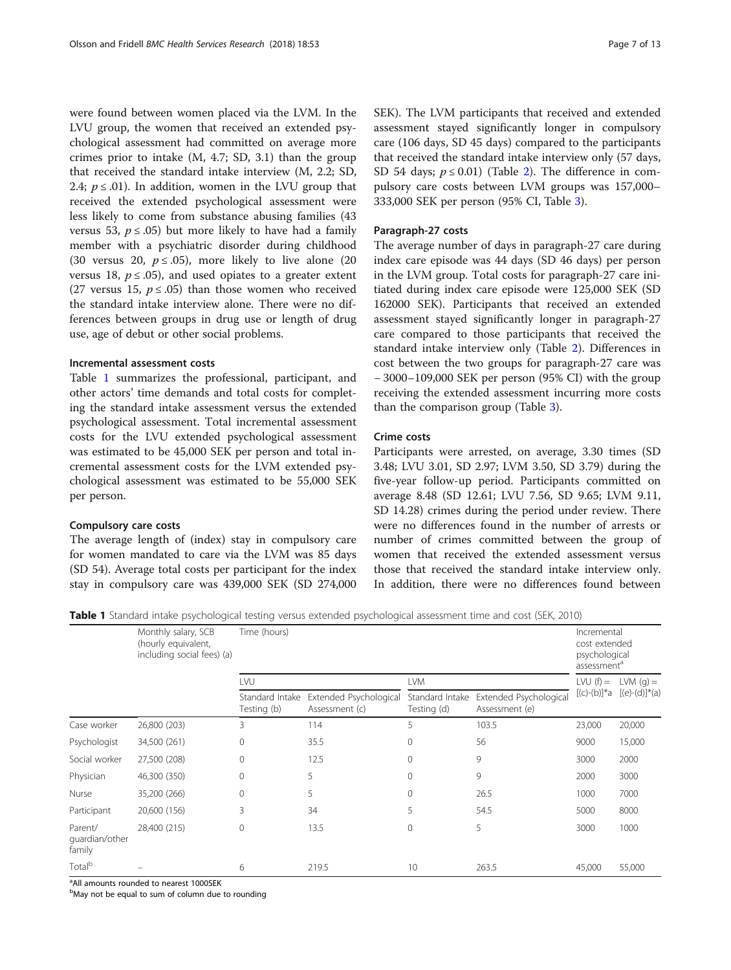<span id="page-6-0"></span>were found between women placed via the LVM. In the LVU group, the women that received an extended psychological assessment had committed on average more crimes prior to intake (M, 4.7; SD, 3.1) than the group that received the standard intake interview (M, 2.2; SD, 2.4;  $p \le 0.01$ ). In addition, women in the LVU group that received the extended psychological assessment were less likely to come from substance abusing families (43 versus 53,  $p \le 0.05$ ) but more likely to have had a family member with a psychiatric disorder during childhood (30 versus 20,  $p \le 0.05$ ), more likely to live alone (20 versus 18,  $p \le 0.05$ ), and used opiates to a greater extent (27 versus 15,  $p \le 0.05$ ) than those women who received the standard intake interview alone. There were no differences between groups in drug use or length of drug use, age of debut or other social problems.

### Incremental assessment costs

Table 1 summarizes the professional, participant, and other actors' time demands and total costs for completing the standard intake assessment versus the extended psychological assessment. Total incremental assessment costs for the LVU extended psychological assessment was estimated to be 45,000 SEK per person and total incremental assessment costs for the LVM extended psychological assessment was estimated to be 55,000 SEK per person.

#### Compulsory care costs

The average length of (index) stay in compulsory care for women mandated to care via the LVM was 85 days (SD 54). Average total costs per participant for the index stay in compulsory care was 439,000 SEK (SD 274,000 SEK). The LVM participants that received and extended assessment stayed significantly longer in compulsory care (106 days, SD 45 days) compared to the participants that received the standard intake interview only (57 days, SD 54 days;  $p \le 0.01$ ) (Table [2\)](#page-7-0). The difference in compulsory care costs between LVM groups was 157,000– 333,000 SEK per person (95% CI, Table [3](#page-8-0)).

#### Paragraph-27 costs

The average number of days in paragraph-27 care during index care episode was 44 days (SD 46 days) per person in the LVM group. Total costs for paragraph-27 care initiated during index care episode were 125,000 SEK (SD 162000 SEK). Participants that received an extended assessment stayed significantly longer in paragraph-27 care compared to those participants that received the standard intake interview only (Table [2](#page-7-0)). Differences in cost between the two groups for paragraph-27 care was − 3000–109,000 SEK per person (95% CI) with the group receiving the extended assessment incurring more costs than the comparison group (Table [3\)](#page-8-0).

### Crime costs

Participants were arrested, on average, 3.30 times (SD 3.48; LVU 3.01, SD 2.97; LVM 3.50, SD 3.79) during the five-year follow-up period. Participants committed on average 8.48 (SD 12.61; LVU 7.56, SD 9.65; LVM 9.11, SD 14.28) crimes during the period under review. There were no differences found in the number of arrests or number of crimes committed between the group of women that received the extended assessment versus those that received the standard intake interview only. In addition, there were no differences found between

Table 1 Standard intake psychological testing versus extended psychological assessment time and cost (SEK, 2010)

|                                     | Monthly salary, SCB<br>(hourly equivalent,<br>including social fees) (a) | Time (hours)                   |                                          |                                |                                          |                | Incremental<br>cost extended<br>psychological<br>assessment <sup>a</sup> |  |
|-------------------------------------|--------------------------------------------------------------------------|--------------------------------|------------------------------------------|--------------------------------|------------------------------------------|----------------|--------------------------------------------------------------------------|--|
|                                     |                                                                          | LVU                            |                                          | <b>LVM</b>                     |                                          | $LVU(f) =$     | LVM $(q) =$<br>$[(e)-(d)]*(a)$                                           |  |
|                                     |                                                                          | Standard Intake<br>Testing (b) | Extended Psychological<br>Assessment (c) | Standard Intake<br>Testing (d) | Extended Psychological<br>Assessment (e) | $[(c)-(b)]^*a$ |                                                                          |  |
| Case worker                         | 26,800 (203)                                                             | 3                              | 114                                      | 5                              | 103.5                                    | 23,000         | 20,000                                                                   |  |
| Psychologist                        | 34,500 (261)                                                             | 0                              | 35.5                                     | 0                              | 56                                       | 9000           | 15,000                                                                   |  |
| Social worker                       | 27,500 (208)                                                             | $\Omega$                       | 12.5                                     | 0                              | 9                                        | 3000           | 2000                                                                     |  |
| Physician                           | 46,300 (350)                                                             | 0                              | 5                                        | 0                              | 9                                        | 2000           | 3000                                                                     |  |
| Nurse                               | 35,200 (266)                                                             | $\Omega$                       | 5                                        | $\Omega$                       | 26.5                                     | 1000           | 7000                                                                     |  |
| Participant                         | 20,600 (156)                                                             | 3                              | 34                                       | 5                              | 54.5                                     | 5000           | 8000                                                                     |  |
| Parent/<br>quardian/other<br>family | 28,400 (215)                                                             | $\Omega$                       | 13.5                                     | 0                              | 5                                        | 3000           | 1000                                                                     |  |
| Total <sup>b</sup>                  |                                                                          | 6                              | 219.5                                    | 10                             | 263.5                                    | 45,000         | 55,000                                                                   |  |

<sup>a</sup>All amounts rounded to nearest 1000SEK

<sup>b</sup>May not be equal to sum of column due to rounding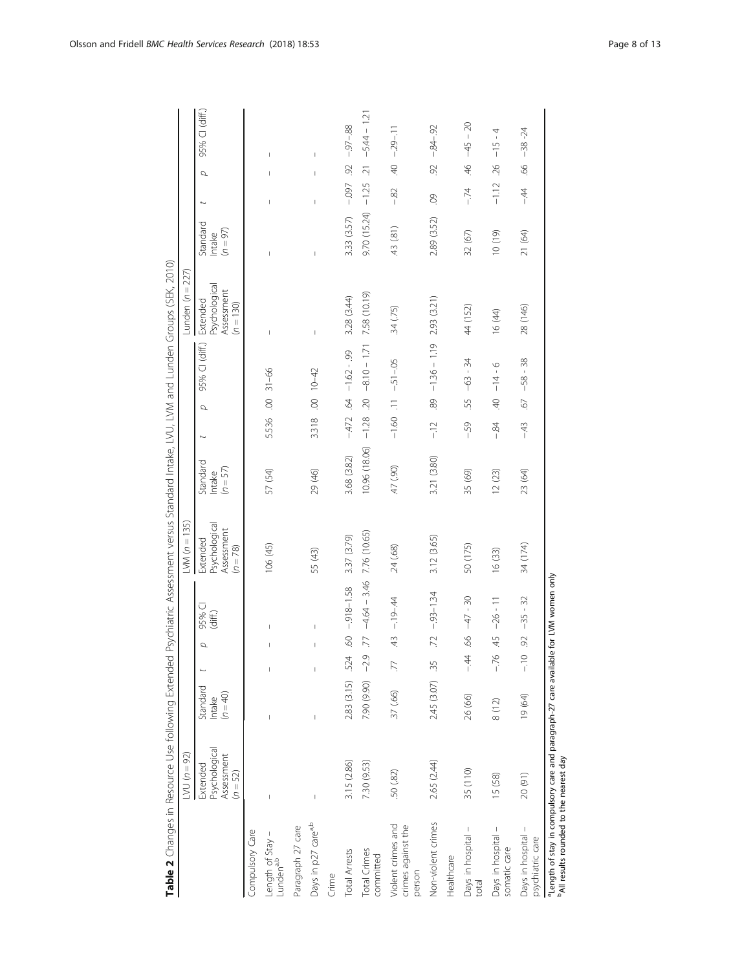<span id="page-7-0"></span>

| Table 2 Changes in Resource Use following Extended                                                |                                                       |                                  |       |                        | Psychiatric Assessment versus Standard Intake, LVU, LVM and Lunden Groups (SEK, 2010) |                                  |         |                             |                                                                                                                                                                                                                                                                                                                                                                                  |                                  |          |                           |                                                                                                                                                                                                                                                                                                                                                                                  |
|---------------------------------------------------------------------------------------------------|-------------------------------------------------------|----------------------------------|-------|------------------------|---------------------------------------------------------------------------------------|----------------------------------|---------|-----------------------------|----------------------------------------------------------------------------------------------------------------------------------------------------------------------------------------------------------------------------------------------------------------------------------------------------------------------------------------------------------------------------------|----------------------------------|----------|---------------------------|----------------------------------------------------------------------------------------------------------------------------------------------------------------------------------------------------------------------------------------------------------------------------------------------------------------------------------------------------------------------------------|
|                                                                                                   | $(NU(n=92)$                                           |                                  |       |                        | $LVM (n = 135)$                                                                       |                                  |         |                             | Lunden $(n = 227)$                                                                                                                                                                                                                                                                                                                                                               |                                  |          |                           |                                                                                                                                                                                                                                                                                                                                                                                  |
|                                                                                                   | Psychological<br>Assessment<br>Extended<br>$(n = 52)$ | Standard<br>$(n = 40)$<br>Intake |       | 95% CI<br>(diff.)<br>d | Psychological<br>Assessment<br>Extended<br>$(n = 78)$                                 | Standard<br>$(n = 57)$<br>Intake |         | 95% CI (diff.)<br>σ         | Psychological<br>Assessment<br>Extended<br>$(n = 130)$                                                                                                                                                                                                                                                                                                                           | Standard<br>$(n = 97)$<br>Intake |          | σ                         | 95% CI (diff.)                                                                                                                                                                                                                                                                                                                                                                   |
| Compulsory Care                                                                                   |                                                       |                                  |       |                        |                                                                                       |                                  |         |                             |                                                                                                                                                                                                                                                                                                                                                                                  |                                  |          |                           |                                                                                                                                                                                                                                                                                                                                                                                  |
| Length of Stay –<br>Lunden <sup>a,b</sup>                                                         |                                                       |                                  |       |                        | 106 (45)                                                                              | 57 (54)                          |         | 5.536 .00 31-66             | I                                                                                                                                                                                                                                                                                                                                                                                | I                                | Ī        | I                         | I                                                                                                                                                                                                                                                                                                                                                                                |
| Paragraph 27 care                                                                                 |                                                       |                                  |       |                        |                                                                                       |                                  |         |                             |                                                                                                                                                                                                                                                                                                                                                                                  |                                  |          |                           |                                                                                                                                                                                                                                                                                                                                                                                  |
| Days in p27 carea,b                                                                               |                                                       | $\mathbf{I}$                     | I     | $\mathbf{I}$           | 55 (43)                                                                               | 29 (46)                          | 3.318   | $.00$ $10-42$               | $\begin{array}{c} \rule{0pt}{2.5ex} \rule{0pt}{2.5ex} \rule{0pt}{2.5ex} \rule{0pt}{2.5ex} \rule{0pt}{2.5ex} \rule{0pt}{2.5ex} \rule{0pt}{2.5ex} \rule{0pt}{2.5ex} \rule{0pt}{2.5ex} \rule{0pt}{2.5ex} \rule{0pt}{2.5ex} \rule{0pt}{2.5ex} \rule{0pt}{2.5ex} \rule{0pt}{2.5ex} \rule{0pt}{2.5ex} \rule{0pt}{2.5ex} \rule{0pt}{2.5ex} \rule{0pt}{2.5ex} \rule{0pt}{2.5ex} \rule{0$ | $\mathbf{I}$                     |          | f,                        | $\begin{array}{c} \rule{0pt}{2.5ex} \rule{0pt}{2.5ex} \rule{0pt}{2.5ex} \rule{0pt}{2.5ex} \rule{0pt}{2.5ex} \rule{0pt}{2.5ex} \rule{0pt}{2.5ex} \rule{0pt}{2.5ex} \rule{0pt}{2.5ex} \rule{0pt}{2.5ex} \rule{0pt}{2.5ex} \rule{0pt}{2.5ex} \rule{0pt}{2.5ex} \rule{0pt}{2.5ex} \rule{0pt}{2.5ex} \rule{0pt}{2.5ex} \rule{0pt}{2.5ex} \rule{0pt}{2.5ex} \rule{0pt}{2.5ex} \rule{0$ |
| Crime                                                                                             |                                                       |                                  |       |                        |                                                                                       |                                  |         |                             |                                                                                                                                                                                                                                                                                                                                                                                  |                                  |          |                           |                                                                                                                                                                                                                                                                                                                                                                                  |
| Total Arrests                                                                                     | 3.15 (2.86)                                           | 2.83 (3.15) 524                  |       | $-918 - 1.58$<br>S)    | 3.37 (3.79)                                                                           | 3.68 (3.82)                      | $-472$  | $.64 - 1.62 - .99$          | 3.28 (3.44)                                                                                                                                                                                                                                                                                                                                                                      | 3.33 (3.57)                      | $-0.097$ | $\widetilde{\mathcal{S}}$ | $-97 - 88$                                                                                                                                                                                                                                                                                                                                                                       |
| Total Crimes<br>committed                                                                         | 7.30 (9.53)                                           | 7.90 (9.90) -2.9                 |       | $-4.64 - 3.46$<br>77   | 7.76 (10.65)                                                                          | 10.96 (18.06)                    | $-1.28$ | $-8.10 - 1.71$<br>$\approx$ | 7.58 (10.19)                                                                                                                                                                                                                                                                                                                                                                     | 9.70 (15.24)                     | $-1.25$  | $\overline{a}$            | $-5.44 - 1.21$                                                                                                                                                                                                                                                                                                                                                                   |
| Violent crimes and<br>crimes against the<br>person                                                | .50 (.82)                                             | .37(66)                          | 77    | $-19 - 44$<br>43       | .24(.68)                                                                              | $(06.)$ ZP.                      |         | $-1.60$ .11 $-51-05$        | .34(.75)                                                                                                                                                                                                                                                                                                                                                                         | (181)                            | $-82$    |                           | $-29 - 11$                                                                                                                                                                                                                                                                                                                                                                       |
| Non-violent crimes                                                                                | 2.65 (2.44)                                           | 2.45 (3.07)                      | 35    | $-0.93 - 1.34$<br>72.  | 3.12 (3.65)                                                                           | 3.21 (3.80)                      | $-12$   | $-1.36 - 1.19$<br>89        | 2.93 (3.21)                                                                                                                                                                                                                                                                                                                                                                      | 2.89 (3.52)                      | 80.      | 92                        | $-84 - 92$                                                                                                                                                                                                                                                                                                                                                                       |
| Healthcare                                                                                        |                                                       |                                  |       |                        |                                                                                       |                                  |         |                             |                                                                                                                                                                                                                                                                                                                                                                                  |                                  |          |                           |                                                                                                                                                                                                                                                                                                                                                                                  |
| Days in hospital -<br>total                                                                       | 35 (110)                                              | 26 (66)                          | $-44$ | $.66 - 47 - 30$        | 50 (175)                                                                              | 35 (69)                          | $-59$   | $-63 - 34$                  | 44 (152)                                                                                                                                                                                                                                                                                                                                                                         | 32 (67)                          | $-74$    |                           | $-45 - 20$                                                                                                                                                                                                                                                                                                                                                                       |
| Days in hospital -<br>somatic care                                                                | 15 (58)                                               | 8(12)                            | $-76$ | $-26 - 11$<br>45       | 16(33)                                                                                | 12(23)                           | $-84$   | $-14-6$<br>$rac{4}{5}$      | 16 (44)                                                                                                                                                                                                                                                                                                                                                                          | 10 (19)                          | $-1.12$  | 26.                       | $-15 - 4$                                                                                                                                                                                                                                                                                                                                                                        |
| Days in hospital -<br>psychiatric care                                                            | 20 (91)                                               | 19 (64)                          | $-10$ | $-35 - 32$<br>$\Im$    | 34 (174)                                                                              | 23 (64)                          | $-43$   | $-58 - 38$<br>67            | 28 (146)                                                                                                                                                                                                                                                                                                                                                                         | 21 (64)                          | $-4$     | 89.                       | $-38 - 24$                                                                                                                                                                                                                                                                                                                                                                       |
| <sup>a</sup> Length of stay in compulsory care and paragraph-27 care available for LVM women only |                                                       |                                  |       |                        |                                                                                       |                                  |         |                             |                                                                                                                                                                                                                                                                                                                                                                                  |                                  |          |                           |                                                                                                                                                                                                                                                                                                                                                                                  |

bAll results rounded to the nearest day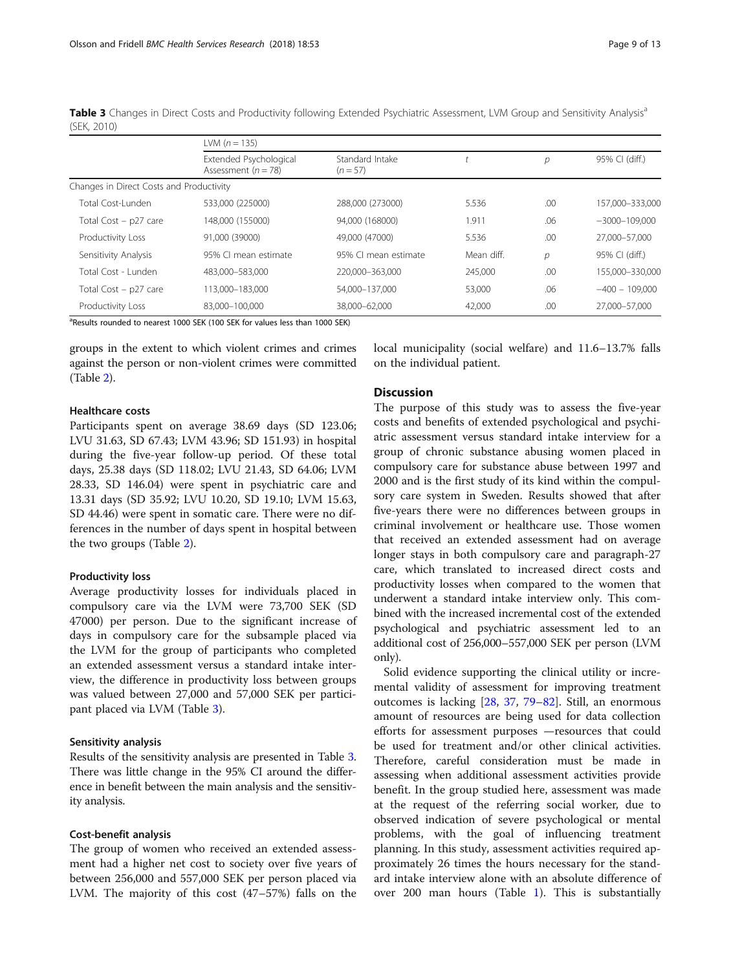| (SEK, 2010)                              |                                                   |                             |       |     |                 |
|------------------------------------------|---------------------------------------------------|-----------------------------|-------|-----|-----------------|
|                                          | LVM $(n = 135)$                                   |                             |       |     |                 |
|                                          | Extended Psychological<br>Assessment ( $n = 78$ ) | Standard Intake<br>$(n=57)$ |       |     | 95% CI (diff.)  |
| Changes in Direct Costs and Productivity |                                                   |                             |       |     |                 |
| Total Cost-Lunden                        | 533,000 (225000)                                  | 288,000 (273000)            | 5.536 | .00 | 157,000-333,000 |

Total Cost – p27 care 148,000 (155000) 94,000 (168000) 1.911 .06 −3000–109,000 Productivity Loss **91,000 (39000)** 49,000 (47000) 49,000 (47000) 5.536 .00 27,000-57,000 Sensitivity Analysis 95% CI mean estimate 95% CI mean estimate Mean diff. p 95% CI (diff.) Total Cost - Lunden 483,000–583,000 220,000–363,000 245,000 .00 155,000–330,000 Total Cost – p27 care 113,000–183,000 54,000–137,000 53,000 .06 −400 – 109,000 Productivity Loss 83,000–100,000 38,000–62,000 42,000 .00 27,000–57,000

<span id="page-8-0"></span>Table 3 Changes in Direct Costs and Productivity following Extended Psychiatric Assessment, LVM Group and Sensitivity Analysis<sup>a</sup>

<sup>a</sup>Results rounded to nearest 1000 SEK (100 SEK for values less than 1000 SEK)

groups in the extent to which violent crimes and crimes against the person or non-violent crimes were committed (Table [2\)](#page-7-0).

### Healthcare costs

Participants spent on average 38.69 days (SD 123.06; LVU 31.63, SD 67.43; LVM 43.96; SD 151.93) in hospital during the five-year follow-up period. Of these total days, 25.38 days (SD 118.02; LVU 21.43, SD 64.06; LVM 28.33, SD 146.04) were spent in psychiatric care and 13.31 days (SD 35.92; LVU 10.20, SD 19.10; LVM 15.63, SD 44.46) were spent in somatic care. There were no differences in the number of days spent in hospital between the two groups (Table [2\)](#page-7-0).

#### Productivity loss

Average productivity losses for individuals placed in compulsory care via the LVM were 73,700 SEK (SD 47000) per person. Due to the significant increase of days in compulsory care for the subsample placed via the LVM for the group of participants who completed an extended assessment versus a standard intake interview, the difference in productivity loss between groups was valued between 27,000 and 57,000 SEK per participant placed via LVM (Table 3).

### Sensitivity analysis

Results of the sensitivity analysis are presented in Table 3. There was little change in the 95% CI around the difference in benefit between the main analysis and the sensitivity analysis.

### Cost-benefit analysis

The group of women who received an extended assessment had a higher net cost to society over five years of between 256,000 and 557,000 SEK per person placed via LVM. The majority of this cost (47–57%) falls on the local municipality (social welfare) and 11.6–13.7% falls on the individual patient.

### Discussion

The purpose of this study was to assess the five-year costs and benefits of extended psychological and psychiatric assessment versus standard intake interview for a group of chronic substance abusing women placed in compulsory care for substance abuse between 1997 and 2000 and is the first study of its kind within the compulsory care system in Sweden. Results showed that after five-years there were no differences between groups in criminal involvement or healthcare use. Those women that received an extended assessment had on average longer stays in both compulsory care and paragraph-27 care, which translated to increased direct costs and productivity losses when compared to the women that underwent a standard intake interview only. This combined with the increased incremental cost of the extended psychological and psychiatric assessment led to an additional cost of 256,000–557,000 SEK per person (LVM only).

Solid evidence supporting the clinical utility or incremental validity of assessment for improving treatment outcomes is lacking [[28,](#page-11-0) [37,](#page-11-0) [79](#page-12-0)–[82](#page-12-0)]. Still, an enormous amount of resources are being used for data collection efforts for assessment purposes —resources that could be used for treatment and/or other clinical activities. Therefore, careful consideration must be made in assessing when additional assessment activities provide benefit. In the group studied here, assessment was made at the request of the referring social worker, due to observed indication of severe psychological or mental problems, with the goal of influencing treatment planning. In this study, assessment activities required approximately 26 times the hours necessary for the standard intake interview alone with an absolute difference of over 200 man hours (Table [1\)](#page-6-0). This is substantially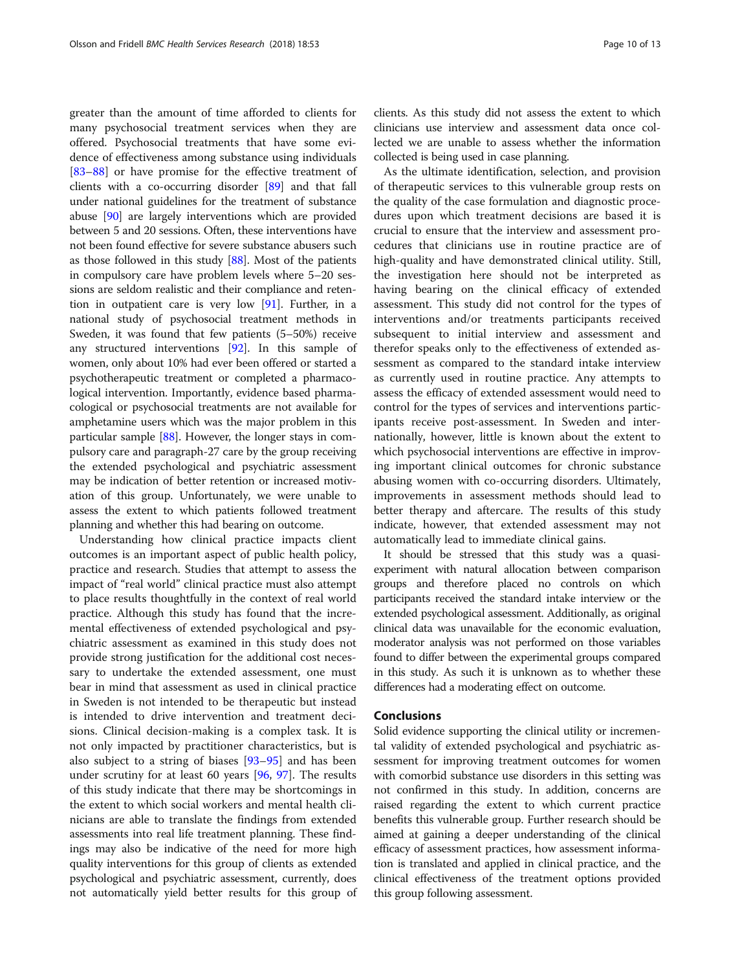greater than the amount of time afforded to clients for many psychosocial treatment services when they are offered. Psychosocial treatments that have some evidence of effectiveness among substance using individuals [[83](#page-12-0)–[88](#page-12-0)] or have promise for the effective treatment of clients with a co-occurring disorder [[89\]](#page-12-0) and that fall under national guidelines for the treatment of substance abuse [\[90\]](#page-12-0) are largely interventions which are provided between 5 and 20 sessions. Often, these interventions have not been found effective for severe substance abusers such as those followed in this study [[88](#page-12-0)]. Most of the patients in compulsory care have problem levels where 5–20 sessions are seldom realistic and their compliance and retention in outpatient care is very low [\[91\]](#page-12-0). Further, in a national study of psychosocial treatment methods in Sweden, it was found that few patients (5–50%) receive any structured interventions [[92](#page-12-0)]. In this sample of women, only about 10% had ever been offered or started a psychotherapeutic treatment or completed a pharmacological intervention. Importantly, evidence based pharmacological or psychosocial treatments are not available for amphetamine users which was the major problem in this particular sample [[88](#page-12-0)]. However, the longer stays in compulsory care and paragraph-27 care by the group receiving the extended psychological and psychiatric assessment may be indication of better retention or increased motivation of this group. Unfortunately, we were unable to assess the extent to which patients followed treatment planning and whether this had bearing on outcome.

Understanding how clinical practice impacts client outcomes is an important aspect of public health policy, practice and research. Studies that attempt to assess the impact of "real world" clinical practice must also attempt to place results thoughtfully in the context of real world practice. Although this study has found that the incremental effectiveness of extended psychological and psychiatric assessment as examined in this study does not provide strong justification for the additional cost necessary to undertake the extended assessment, one must bear in mind that assessment as used in clinical practice in Sweden is not intended to be therapeutic but instead is intended to drive intervention and treatment decisions. Clinical decision-making is a complex task. It is not only impacted by practitioner characteristics, but is also subject to a string of biases [[93](#page-12-0)–[95](#page-12-0)] and has been under scrutiny for at least 60 years [[96,](#page-12-0) [97](#page-12-0)]. The results of this study indicate that there may be shortcomings in the extent to which social workers and mental health clinicians are able to translate the findings from extended assessments into real life treatment planning. These findings may also be indicative of the need for more high quality interventions for this group of clients as extended psychological and psychiatric assessment, currently, does not automatically yield better results for this group of clients. As this study did not assess the extent to which clinicians use interview and assessment data once collected we are unable to assess whether the information collected is being used in case planning.

As the ultimate identification, selection, and provision of therapeutic services to this vulnerable group rests on the quality of the case formulation and diagnostic procedures upon which treatment decisions are based it is crucial to ensure that the interview and assessment procedures that clinicians use in routine practice are of high-quality and have demonstrated clinical utility. Still, the investigation here should not be interpreted as having bearing on the clinical efficacy of extended assessment. This study did not control for the types of interventions and/or treatments participants received subsequent to initial interview and assessment and therefor speaks only to the effectiveness of extended assessment as compared to the standard intake interview as currently used in routine practice. Any attempts to assess the efficacy of extended assessment would need to control for the types of services and interventions participants receive post-assessment. In Sweden and internationally, however, little is known about the extent to which psychosocial interventions are effective in improving important clinical outcomes for chronic substance abusing women with co-occurring disorders. Ultimately, improvements in assessment methods should lead to better therapy and aftercare. The results of this study indicate, however, that extended assessment may not automatically lead to immediate clinical gains.

It should be stressed that this study was a quasiexperiment with natural allocation between comparison groups and therefore placed no controls on which participants received the standard intake interview or the extended psychological assessment. Additionally, as original clinical data was unavailable for the economic evaluation, moderator analysis was not performed on those variables found to differ between the experimental groups compared in this study. As such it is unknown as to whether these differences had a moderating effect on outcome.

### Conclusions

Solid evidence supporting the clinical utility or incremental validity of extended psychological and psychiatric assessment for improving treatment outcomes for women with comorbid substance use disorders in this setting was not confirmed in this study. In addition, concerns are raised regarding the extent to which current practice benefits this vulnerable group. Further research should be aimed at gaining a deeper understanding of the clinical efficacy of assessment practices, how assessment information is translated and applied in clinical practice, and the clinical effectiveness of the treatment options provided this group following assessment.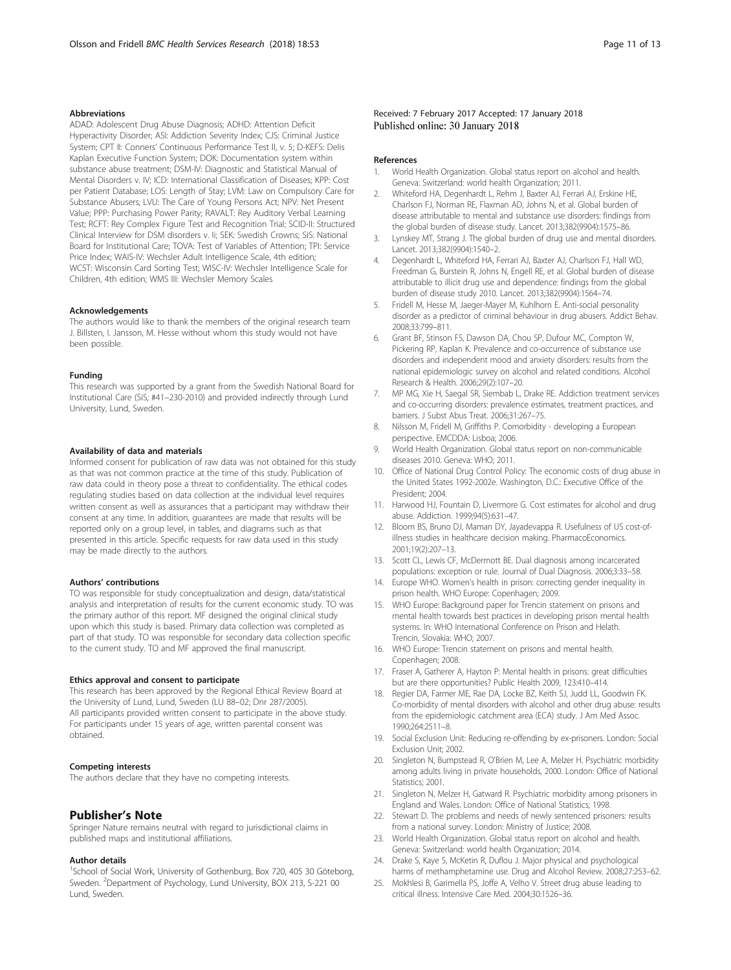<span id="page-10-0"></span>ADAD: Adolescent Drug Abuse Diagnosis; ADHD: Attention Deficit Hyperactivity Disorder; ASI: Addiction Severity Index; CJS: Criminal Justice System; CPT II: Conners' Continuous Performance Test II, v. 5; D-KEFS: Delis Kaplan Executive Function System; DOK: Documentation system within substance abuse treatment; DSM-IV: Diagnostic and Statistical Manual of Mental Disorders v. IV; ICD: International Classification of Diseases; KPP: Cost per Patient Database; LOS: Length of Stay; LVM: Law on Compulsory Care for Substance Abusers; LVU: The Care of Young Persons Act; NPV: Net Present Value; PPP: Purchasing Power Parity; RAVALT: Rey Auditory Verbal Learning Test; RCFT: Rey Complex Figure Test and Recognition Trial; SCID-II: Structured Clinical Interview for DSM disorders v. Ii; SEK: Swedish Crowns; SiS: National Board for Institutional Care; TOVA: Test of Variables of Attention; TPI: Service Price Index; WAIS-IV: Wechsler Adult Intelligence Scale, 4th edition; WCST: Wisconsin Card Sorting Test; WISC-IV: Wechsler Intelligence Scale for Children, 4th edition; WMS III: Wechsler Memory Scales

#### Acknowledgements

The authors would like to thank the members of the original research team J. Billsten, I. Jansson, M. Hesse without whom this study would not have been possible.

#### Funding

This research was supported by a grant from the Swedish National Board for Institutional Care (SiS; #41–230-2010) and provided indirectly through Lund University, Lund, Sweden.

#### Availability of data and materials

Informed consent for publication of raw data was not obtained for this study as that was not common practice at the time of this study. Publication of raw data could in theory pose a threat to confidentiality. The ethical codes regulating studies based on data collection at the individual level requires written consent as well as assurances that a participant may withdraw their consent at any time. In addition, guarantees are made that results will be reported only on a group level, in tables, and diagrams such as that presented in this article. Specific requests for raw data used in this study may be made directly to the authors.

#### Authors' contributions

TO was responsible for study conceptualization and design, data/statistical analysis and interpretation of results for the current economic study. TO was the primary author of this report. MF designed the original clinical study upon which this study is based. Primary data collection was completed as part of that study. TO was responsible for secondary data collection specific to the current study. TO and MF approved the final manuscript.

#### Ethics approval and consent to participate

This research has been approved by the Regional Ethical Review Board at the University of Lund, Lund, Sweden (LU 88–02; Dnr 287/2005). All participants provided written consent to participate in the above study. For participants under 15 years of age, written parental consent was obtained.

#### Competing interests

The authors declare that they have no competing interests.

### Publisher's Note

Springer Nature remains neutral with regard to jurisdictional claims in published maps and institutional affiliations.

#### Author details

<sup>1</sup>School of Social Work, University of Gothenburg, Box 720, 405 30 Göteborg, Sweden. <sup>2</sup>Department of Psychology, Lund University, BOX 213, S-221 00 Lund, Sweden.

#### References

- 1. World Health Organization. Global status report on alcohol and health. Geneva: Switzerland: world health Organization; 2011.
- Whiteford HA, Degenhardt L, Rehm J, Baxter AJ, Ferrari AJ, Erskine HE, Charlson FJ, Norman RE, Flaxman AD, Johns N, et al. Global burden of disease attributable to mental and substance use disorders: findings from the global burden of disease study. Lancet. 2013;382(9904):1575–86.
- Lynskey MT, Strang J. The global burden of drug use and mental disorders. Lancet. 2013;382(9904):1540–2.
- 4. Degenhardt L, Whiteford HA, Ferrari AJ, Baxter AJ, Charlson FJ, Hall WD, Freedman G, Burstein R, Johns N, Engell RE, et al. Global burden of disease attributable to illicit drug use and dependence: findings from the global burden of disease study 2010. Lancet. 2013;382(9904):1564–74.
- 5. Fridell M, Hesse M, Jaeger-Mayer M, Kuhlhorn E. Anti-social personality disorder as a predictor of criminal behaviour in drug abusers. Addict Behav. 2008;33:799–811.
- 6. Grant BF, Stinson FS, Dawson DA, Chou SP, Dufour MC, Compton W, Pickering RP, Kaplan K. Prevalence and co-occurrence of substance use disorders and independent mood and anxiety disorders: results from the national epidemiologic survey on alcohol and related conditions. Alcohol Research & Health. 2006;29(2):107–20.
- 7. MP MG, Xie H, Saegal SR, Siembab L, Drake RE. Addiction treatment services and co-occurring disorders: prevalence estimates, treatment practices, and barriers. J Subst Abus Treat. 2006;31:267–75.
- 8. Nilsson M, Fridell M, Griffiths P. Comorbidity developing a European perspective. EMCDDA: Lisboa; 2006.
- 9. World Health Organization. Global status report on non-communicable diseases 2010. Geneva: WHO; 2011.
- 10. Office of National Drug Control Policy: The economic costs of drug abuse in the United States 1992-2002e. Washington, D.C.: Executive Office of the President; 2004.
- 11. Harwood HJ, Fountain D, Livermore G. Cost estimates for alcohol and drug abuse. Addiction. 1999;94(5):631–47.
- 12. Bloom BS, Bruno DJ, Maman DY, Jayadevappa R. Usefulness of US cost-ofillness studies in healthcare decision making. PharmacoEconomics. 2001;19(2):207–13.
- 13. Scott CL, Lewis CF, McDermott BE. Dual diagnosis among incarcerated populations: exception or rule. Journal of Dual Diagnosis. 2006;3:33–58.
- 14. Europe WHO. Women's health in prison: correcting gender inequality in prison health. WHO Europe: Copenhagen; 2009.
- 15. WHO Europe: Background paper for Trencin statement on prisons and mental health towards best practices in developing prison mental health systems. In: WHO International Conference on Prison and Helath. Trencin, Slovakia: WHO; 2007.
- 16. WHO Europe: Trencin statement on prisons and mental health. Copenhagen; 2008.
- 17. Fraser A, Gatherer A, Hayton P: Mental health in prisons: great difficulties but are there opportunities? Public Health 2009, 123:410–414.
- 18. Regier DA, Farmer ME, Rae DA, Locke BZ, Keith SJ, Judd LL, Goodwin FK. Co-morbidity of mental disorders with alcohol and other drug abuse: results from the epidemiologic catchment area (ECA) study. J Am Med Assoc. 1990;264:2511–8.
- 19. Social Exclusion Unit: Reducing re-offending by ex-prisoners. London: Social Exclusion Unit; 2002.
- 20. Singleton N, Bumpstead R, O'Brien M, Lee A, Melzer H. Psychiatric morbidity among adults living in private households, 2000. London: Office of National Statistics: 2001.
- 21. Singleton N, Melzer H, Gatward R. Psychiatric morbidity among prisoners in England and Wales. London: Office of National Statistics; 1998.
- 22. Stewart D. The problems and needs of newly sentenced prisoners: results from a national survey. London: Ministry of Justice; 2008.
- 23. World Health Organization. Global status report on alcohol and health. Geneva: Switzerland: world health Organization; 2014.
- 24. Drake S, Kaye S, McKetin R, Duflou J. Major physical and psychological harms of methamphetamine use. Drug and Alcohol Review. 2008;27:253–62.
- 25. Mokhlesi B, Garimella PS, Joffe A, Velho V. Street drug abuse leading to critical illness. Intensive Care Med. 2004;30:1526–36.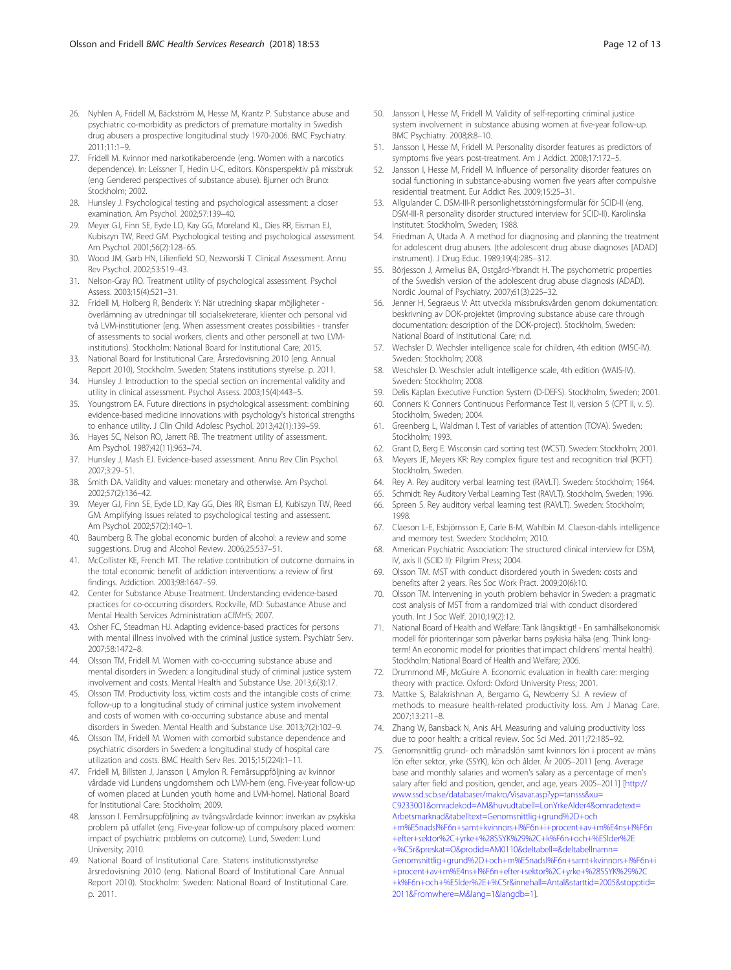- <span id="page-11-0"></span>26. Nyhlen A, Fridell M, Bäckström M, Hesse M, Krantz P. Substance abuse and psychiatric co-morbidity as predictors of premature mortality in Swedish drug abusers a prospective longitudinal study 1970-2006. BMC Psychiatry.  $2011:11:1-9$
- 27. Fridell M. Kvinnor med narkotikaberoende (eng. Women with a narcotics dependence). In: Leissner T, Hedin U-C, editors. Könsperspektiv på missbruk (eng Gendered perspectives of substance abuse). Bjurner och Bruno: Stockholm; 2002.
- 28. Hunsley J. Psychological testing and psychological assessment: a closer examination. Am Psychol. 2002;57:139–40.
- 29. Meyer GJ, Finn SE, Eyde LD, Kay GG, Moreland KL, Dies RR, Eisman EJ, Kubiszyn TW, Reed GM. Psychological testing and psychological assessment. Am Psychol. 2001;56(2):128–65.
- 30. Wood JM, Garb HN, Lilienfield SO, Nezworski T. Clinical Assessment. Annu Rev Psychol. 2002;53:519–43.
- 31. Nelson-Gray RO. Treatment utility of psychological assessment. Psychol Assess. 2003;15(4):521–31.
- 32. Fridell M, Holberg R, Benderix Y: När utredning skapar möjligheter överlämning av utredningar till socialsekreterare, klienter och personal vid två LVM-institutioner (eng. When assessment creates possibilities - transfer of assessments to social workers, clients and other personell at two LVMinstitutions). Stockholm: National Board for Institutional Care; 2015.
- 33. National Board for Institutional Care. Årsredovisning 2010 (eng. Annual Report 2010), Stockholm. Sweden: Statens institutions styrelse. p. 2011.
- 34. Hunsley J. Introduction to the special section on incremental validity and utility in clinical assessment. Psychol Assess. 2003;15(4):443–5.
- 35. Youngstrom EA. Future directions in psychological assessment: combining evidence-based medicine innovations with psychology's historical strengths to enhance utility. J Clin Child Adolesc Psychol. 2013;42(1):139–59.
- 36. Hayes SC, Nelson RO, Jarrett RB. The treatment utility of assessment. Am Psychol. 1987;42(11):963–74.
- 37. Hunsley J, Mash EJ. Evidence-based assessment. Annu Rev Clin Psychol. 2007;3:29–51.
- 38. Smith DA. Validity and values: monetary and otherwise. Am Psychol. 2002;57(2):136–42.
- 39. Meyer GJ, Finn SE, Eyde LD, Kay GG, Dies RR, Eisman EJ, Kubiszyn TW, Reed GM. Amplifying issues related to psychological testing and assessent. Am Psychol. 2002;57(2):140–1.
- 40. Baumberg B. The global economic burden of alcohol: a review and some suggestions. Drug and Alcohol Review. 2006;25:537–51.
- 41. McCollister KE, French MT. The relative contribution of outcome domains in the total economic benefit of addiction interventions: a review of first findings. Addiction. 2003;98:1647–59.
- 42. Center for Substance Abuse Treatment. Understanding evidence-based practices for co-occurring disorders. Rockville, MD: Subastance Abuse and Mental Health Services Administration aCfMHS; 2007.
- 43. Osher FC, Steadman HJ. Adapting evidence-based practices for persons with mental illness involved with the criminal justice system. Psychiatr Serv. 2007;58:1472–8.
- 44. Olsson TM, Fridell M. Women with co-occurring substance abuse and mental disorders in Sweden: a longitudinal study of criminal justice system involvement and costs. Mental Health and Substance Use. 2013;6(3):17.
- 45. Olsson TM. Productivity loss, victim costs and the intangible costs of crime: follow-up to a longitudinal study of criminal justice system involvement and costs of women with co-occurring substance abuse and mental disorders in Sweden. Mental Health and Substance Use. 2013;7(2):102–9.
- 46. Olsson TM, Fridell M. Women with comorbid substance dependence and psychiatric disorders in Sweden: a longitudinal study of hospital care utilization and costs. BMC Health Serv Res. 2015;15(224):1–11.
- 47. Fridell M, Billsten J, Jansson I, Amylon R. Femårsuppföljning av kvinnor vårdade vid Lundens ungdomshem och LVM-hem (eng. Five-year follow-up of women placed at Lunden youth home and LVM-home). National Board for Institutional Care: Stockholm; 2009.
- 48. Jansson I. Femårsuppföljning av tvångsvårdade kvinnor: inverkan av psykiska problem på utfallet (eng. Five-year follow-up of compulsory placed women: impact of psychiatric problems on outcome). Lund, Sweden: Lund University; 2010.
- 49. National Board of Institutional Care. Statens institutionsstyrelse årsredovisning 2010 (eng. National Board of Institutional Care Annual Report 2010). Stockholm: Sweden: National Board of Institutional Care. p. 2011.
- 50. Jansson I, Hesse M, Fridell M. Validity of self-reporting criminal justice system involvement in substance abusing women at five-year follow-up. BMC Psychiatry. 2008;8:8–10.
- 51. Jansson I, Hesse M, Fridell M. Personality disorder features as predictors of symptoms five years post-treatment. Am J Addict. 2008;17:172–5.
- 52. Jansson I, Hesse M, Fridell M. Influence of personality disorder features on social functioning in substance-abusing women five years after compulsive residential treatment. Eur Addict Res. 2009;15:25–31.
- 53. Allgulander C. DSM-III-R personlighetsstörningsformulär för SCID-II (eng. DSM-III-R personality disorder structured interview for SCID-II). Karolinska Institutet: Stockholm, Sweden; 1988.
- 54. Friedman A, Utada A. A method for diagnosing and planning the treatment for adolescent drug abusers. (the adolescent drug abuse diagnoses [ADAD] instrument). J Drug Educ. 1989;19(4):285–312.
- 55. Börjesson J, Armelius BA, Ostgård-Ybrandt H. The psychometric properties of the Swedish version of the adolescent drug abuse diagnosis (ADAD). Nordic Journal of Psychiatry. 2007;61(3):225–32.
- 56. Jenner H, Segraeus V: Att utveckla missbruksvården genom dokumentation: beskrivning av DOK-projektet (improving substance abuse care through documentation: description of the DOK-project). Stockholm, Sweden: National Board of Institutional Care; n.d.
- 57. Wechsler D. Wechsler intelligence scale for children, 4th edition (WISC-IV). Sweden: Stockholm; 2008.
- 58. Weschsler D. Weschsler adult intelligence scale, 4th edition (WAIS-IV). Sweden: Stockholm; 2008.
- 59. Delis Kaplan Executive Function System (D-DEFS). Stockholm, Sweden; 2001.
- 60. Conners K: Conners Continuous Performance Test II, version 5 (CPT II, v. 5). Stockholm, Sweden; 2004.
- 61. Greenberg L, Waldman I. Test of variables of attention (TOVA). Sweden: Stockholm; 1993.
- 62. Grant D, Berg E. Wisconsin card sorting test (WCST). Sweden: Stockholm; 2001.
- 63. Meyers JE, Meyers KR: Rey complex figure test and recognition trial (RCFT). Stockholm, Sweden.
- 64. Rey A. Rey auditory verbal learning test (RAVLT). Sweden: Stockholm; 1964.
- 65. Schmidt: Rey Auditory Verbal Learning Test (RAVLT). Stockholm, Sweden; 1996.
- 66. Spreen S. Rey auditory verbal learning test (RAVLT). Sweden: Stockholm; 1998.
- 67. Claeson L-E, Esbjörnsson E, Carle B-M, Wahlbin M. Claeson-dahls intelligence and memory test. Sweden: Stockholm; 2010.
- American Psychiatric Association: The structured clinical interview for DSM, IV, axis II (SCID II): Pilgrim Press; 2004.
- 69. Olsson TM. MST with conduct disordered youth in Sweden: costs and benefits after 2 years. Res Soc Work Pract. 2009;20(6):10.
- 70. Olsson TM. Intervening in youth problem behavior in Sweden: a pragmatic cost analysis of MST from a randomized trial with conduct disordered youth. Int J Soc Welf. 2010;19(2):12.
- 71. National Board of Health and Welfare: Tänk långsiktigt! En samhällsekonomisk modell för prioriteringar som påverkar barns psykiska hälsa (eng. Think longterm! An economic model for priorities that impact childrens' mental health). Stockholm: National Board of Health and Welfare; 2006.
- 72. Drummond MF, McGuire A. Economic evaluation in health care: merging theory with practice. Oxford: Oxford University Press; 2001.
- 73. Mattke S, Balakrishnan A, Bergamo G, Newberry SJ. A review of methods to measure health-related productivity loss. Am J Manag Care. 2007;13:211–8.
- 74. Zhang W, Bansback N, Anis AH. Measuring and valuing productivity loss due to poor health: a critical review. Soc Sci Med. 2011;72:185–92.
- 75. Genomsnittlig grund- och månadslön samt kvinnors lön i procent av mäns lön efter sektor, yrke (SSYK), kön och ålder. År 2005–2011 [eng. Average base and monthly salaries and women's salary as a percentage of men's salary after field and position, gender, and age, years 2005–2011] [\[http://](http://www.ssd.scb.se/databaser/makro/Visavar.asp?yp=tansss&xu=C9233001&omradekod=AM&huvudtabell=LonYrkeAlder4&omradetext=Arbetsmarknad&tabelltext=Genomsnittlig+grund%2D+och+m%E5nadsl%F6n+samt+kvinnors+l%F6n+i+procent+av+m%E4ns+l%F6n+efter+sektor%2C+yrke+%28SSYK%29%2C+k%F6n+och+%E5lder%2E+%C5r&preskat=O&prodid=AM0110&deltabell=&deltabellnamn=Genomsnittlig+grund%2D+och+m%E5nadsl%F6n+samt+kvinnors+l%F6n+i+procent+av+m%E4ns+l%F6n+efter+sektor%2C+yrke+%28SSYK%29%2C+k%F6n+och+%E5lder%2E+%C5r&innehall=Antal&starttid=2005&stopptid=2011&Fromwhere=M&lang=1&langdb=1) [www.ssd.scb.se/databaser/makro/Visavar.asp?yp=tansss&xu=](http://www.ssd.scb.se/databaser/makro/Visavar.asp?yp=tansss&xu=C9233001&omradekod=AM&huvudtabell=LonYrkeAlder4&omradetext=Arbetsmarknad&tabelltext=Genomsnittlig+grund%2D+och+m%E5nadsl%F6n+samt+kvinnors+l%F6n+i+procent+av+m%E4ns+l%F6n+efter+sektor%2C+yrke+%28SSYK%29%2C+k%F6n+och+%E5lder%2E+%C5r&preskat=O&prodid=AM0110&deltabell=&deltabellnamn=Genomsnittlig+grund%2D+och+m%E5nadsl%F6n+samt+kvinnors+l%F6n+i+procent+av+m%E4ns+l%F6n+efter+sektor%2C+yrke+%28SSYK%29%2C+k%F6n+och+%E5lder%2E+%C5r&innehall=Antal&starttid=2005&stopptid=2011&Fromwhere=M&lang=1&langdb=1) [C9233001&omradekod=AM&huvudtabell=LonYrkeAlder4&omradetext=](http://www.ssd.scb.se/databaser/makro/Visavar.asp?yp=tansss&xu=C9233001&omradekod=AM&huvudtabell=LonYrkeAlder4&omradetext=Arbetsmarknad&tabelltext=Genomsnittlig+grund%2D+och+m%E5nadsl%F6n+samt+kvinnors+l%F6n+i+procent+av+m%E4ns+l%F6n+efter+sektor%2C+yrke+%28SSYK%29%2C+k%F6n+och+%E5lder%2E+%C5r&preskat=O&prodid=AM0110&deltabell=&deltabellnamn=Genomsnittlig+grund%2D+och+m%E5nadsl%F6n+samt+kvinnors+l%F6n+i+procent+av+m%E4ns+l%F6n+efter+sektor%2C+yrke+%28SSYK%29%2C+k%F6n+och+%E5lder%2E+%C5r&innehall=Antal&starttid=2005&stopptid=2011&Fromwhere=M&lang=1&langdb=1) [Arbetsmarknad&tabelltext=Genomsnittlig+grund%2D+och](http://www.ssd.scb.se/databaser/makro/Visavar.asp?yp=tansss&xu=C9233001&omradekod=AM&huvudtabell=LonYrkeAlder4&omradetext=Arbetsmarknad&tabelltext=Genomsnittlig+grund%2D+och+m%E5nadsl%F6n+samt+kvinnors+l%F6n+i+procent+av+m%E4ns+l%F6n+efter+sektor%2C+yrke+%28SSYK%29%2C+k%F6n+och+%E5lder%2E+%C5r&preskat=O&prodid=AM0110&deltabell=&deltabellnamn=Genomsnittlig+grund%2D+och+m%E5nadsl%F6n+samt+kvinnors+l%F6n+i+procent+av+m%E4ns+l%F6n+efter+sektor%2C+yrke+%28SSYK%29%2C+k%F6n+och+%E5lder%2E+%C5r&innehall=Antal&starttid=2005&stopptid=2011&Fromwhere=M&lang=1&langdb=1) [+m%E5nadsl%F6n+samt+kvinnors+l%F6n+i+procent+av+m%E4ns+l%F6n](http://www.ssd.scb.se/databaser/makro/Visavar.asp?yp=tansss&xu=C9233001&omradekod=AM&huvudtabell=LonYrkeAlder4&omradetext=Arbetsmarknad&tabelltext=Genomsnittlig+grund%2D+och+m%E5nadsl%F6n+samt+kvinnors+l%F6n+i+procent+av+m%E4ns+l%F6n+efter+sektor%2C+yrke+%28SSYK%29%2C+k%F6n+och+%E5lder%2E+%C5r&preskat=O&prodid=AM0110&deltabell=&deltabellnamn=Genomsnittlig+grund%2D+och+m%E5nadsl%F6n+samt+kvinnors+l%F6n+i+procent+av+m%E4ns+l%F6n+efter+sektor%2C+yrke+%28SSYK%29%2C+k%F6n+och+%E5lder%2E+%C5r&innehall=Antal&starttid=2005&stopptid=2011&Fromwhere=M&lang=1&langdb=1) [+efter+sektor%2C+yrke+%28SSYK%29%2C+k%F6n+och+%E5lder%2E](http://www.ssd.scb.se/databaser/makro/Visavar.asp?yp=tansss&xu=C9233001&omradekod=AM&huvudtabell=LonYrkeAlder4&omradetext=Arbetsmarknad&tabelltext=Genomsnittlig+grund%2D+och+m%E5nadsl%F6n+samt+kvinnors+l%F6n+i+procent+av+m%E4ns+l%F6n+efter+sektor%2C+yrke+%28SSYK%29%2C+k%F6n+och+%E5lder%2E+%C5r&preskat=O&prodid=AM0110&deltabell=&deltabellnamn=Genomsnittlig+grund%2D+och+m%E5nadsl%F6n+samt+kvinnors+l%F6n+i+procent+av+m%E4ns+l%F6n+efter+sektor%2C+yrke+%28SSYK%29%2C+k%F6n+och+%E5lder%2E+%C5r&innehall=Antal&starttid=2005&stopptid=2011&Fromwhere=M&lang=1&langdb=1) [+%C5r&preskat=O&prodid=AM0110&deltabell=&deltabellnamn=](http://www.ssd.scb.se/databaser/makro/Visavar.asp?yp=tansss&xu=C9233001&omradekod=AM&huvudtabell=LonYrkeAlder4&omradetext=Arbetsmarknad&tabelltext=Genomsnittlig+grund%2D+och+m%E5nadsl%F6n+samt+kvinnors+l%F6n+i+procent+av+m%E4ns+l%F6n+efter+sektor%2C+yrke+%28SSYK%29%2C+k%F6n+och+%E5lder%2E+%C5r&preskat=O&prodid=AM0110&deltabell=&deltabellnamn=Genomsnittlig+grund%2D+och+m%E5nadsl%F6n+samt+kvinnors+l%F6n+i+procent+av+m%E4ns+l%F6n+efter+sektor%2C+yrke+%28SSYK%29%2C+k%F6n+och+%E5lder%2E+%C5r&innehall=Antal&starttid=2005&stopptid=2011&Fromwhere=M&lang=1&langdb=1) [Genomsnittlig+grund%2D+och+m%E5nadsl%F6n+samt+kvinnors+l%F6n+i](http://www.ssd.scb.se/databaser/makro/Visavar.asp?yp=tansss&xu=C9233001&omradekod=AM&huvudtabell=LonYrkeAlder4&omradetext=Arbetsmarknad&tabelltext=Genomsnittlig+grund%2D+och+m%E5nadsl%F6n+samt+kvinnors+l%F6n+i+procent+av+m%E4ns+l%F6n+efter+sektor%2C+yrke+%28SSYK%29%2C+k%F6n+och+%E5lder%2E+%C5r&preskat=O&prodid=AM0110&deltabell=&deltabellnamn=Genomsnittlig+grund%2D+och+m%E5nadsl%F6n+samt+kvinnors+l%F6n+i+procent+av+m%E4ns+l%F6n+efter+sektor%2C+yrke+%28SSYK%29%2C+k%F6n+och+%E5lder%2E+%C5r&innehall=Antal&starttid=2005&stopptid=2011&Fromwhere=M&lang=1&langdb=1) [+procent+av+m%E4ns+l%F6n+efter+sektor%2C+yrke+%28SSYK%29%2C](http://www.ssd.scb.se/databaser/makro/Visavar.asp?yp=tansss&xu=C9233001&omradekod=AM&huvudtabell=LonYrkeAlder4&omradetext=Arbetsmarknad&tabelltext=Genomsnittlig+grund%2D+och+m%E5nadsl%F6n+samt+kvinnors+l%F6n+i+procent+av+m%E4ns+l%F6n+efter+sektor%2C+yrke+%28SSYK%29%2C+k%F6n+och+%E5lder%2E+%C5r&preskat=O&prodid=AM0110&deltabell=&deltabellnamn=Genomsnittlig+grund%2D+och+m%E5nadsl%F6n+samt+kvinnors+l%F6n+i+procent+av+m%E4ns+l%F6n+efter+sektor%2C+yrke+%28SSYK%29%2C+k%F6n+och+%E5lder%2E+%C5r&innehall=Antal&starttid=2005&stopptid=2011&Fromwhere=M&lang=1&langdb=1) [+k%F6n+och+%E5lder%2E+%C5r&innehall=Antal&starttid=2005&stopptid=](http://www.ssd.scb.se/databaser/makro/Visavar.asp?yp=tansss&xu=C9233001&omradekod=AM&huvudtabell=LonYrkeAlder4&omradetext=Arbetsmarknad&tabelltext=Genomsnittlig+grund%2D+och+m%E5nadsl%F6n+samt+kvinnors+l%F6n+i+procent+av+m%E4ns+l%F6n+efter+sektor%2C+yrke+%28SSYK%29%2C+k%F6n+och+%E5lder%2E+%C5r&preskat=O&prodid=AM0110&deltabell=&deltabellnamn=Genomsnittlig+grund%2D+och+m%E5nadsl%F6n+samt+kvinnors+l%F6n+i+procent+av+m%E4ns+l%F6n+efter+sektor%2C+yrke+%28SSYK%29%2C+k%F6n+och+%E5lder%2E+%C5r&innehall=Antal&starttid=2005&stopptid=2011&Fromwhere=M&lang=1&langdb=1) [2011&Fromwhere=M&lang=1&langdb=1](http://www.ssd.scb.se/databaser/makro/Visavar.asp?yp=tansss&xu=C9233001&omradekod=AM&huvudtabell=LonYrkeAlder4&omradetext=Arbetsmarknad&tabelltext=Genomsnittlig+grund%2D+och+m%E5nadsl%F6n+samt+kvinnors+l%F6n+i+procent+av+m%E4ns+l%F6n+efter+sektor%2C+yrke+%28SSYK%29%2C+k%F6n+och+%E5lder%2E+%C5r&preskat=O&prodid=AM0110&deltabell=&deltabellnamn=Genomsnittlig+grund%2D+och+m%E5nadsl%F6n+samt+kvinnors+l%F6n+i+procent+av+m%E4ns+l%F6n+efter+sektor%2C+yrke+%28SSYK%29%2C+k%F6n+och+%E5lder%2E+%C5r&innehall=Antal&starttid=2005&stopptid=2011&Fromwhere=M&lang=1&langdb=1)].